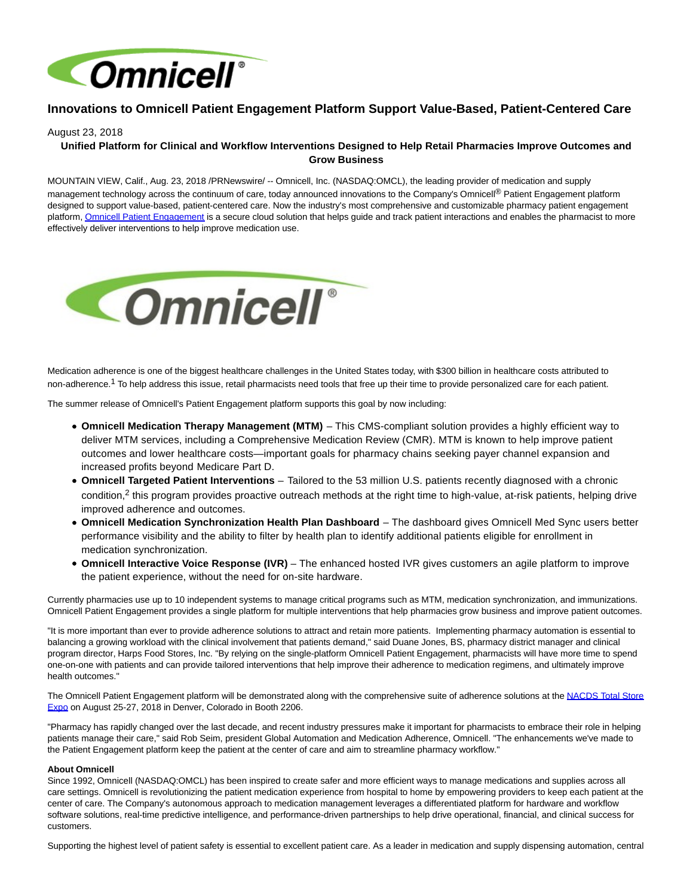

## **Innovations to Omnicell Patient Engagement Platform Support Value-Based, Patient-Centered Care**

## August 23, 2018

## **Unified Platform for Clinical and Workflow Interventions Designed to Help Retail Pharmacies Improve Outcomes and Grow Business**

MOUNTAIN VIEW, Calif., Aug. 23, 2018 /PRNewswire/ -- Omnicell, Inc. (NASDAQ:OMCL), the leading provider of medication and supply management technology across the continuum of care, today announced innovations to the Company's Omnicell<sup>®</sup> Patient Engagement platform designed to support value-based, patient-centered care. Now the industry's most comprehensive and customizable pharmacy patient engagement platform[, Omnicell Patient Engagement i](https://www.omnicell.com/mts/Products_and_Solutions_For_Pharmacy/Omnicell_Patient_Engagement.aspx)s a secure cloud solution that helps guide and track patient interactions and enables the pharmacist to more effectively deliver interventions to help improve medication use.



Medication adherence is one of the biggest healthcare challenges in the United States today, with \$300 billion in healthcare costs attributed to non-adherence.1 To help address this issue, retail pharmacists need tools that free up their time to provide personalized care for each patient.

The summer release of Omnicell's Patient Engagement platform supports this goal by now including:

- **Omnicell Medication Therapy Management (MTM)**  This CMS-compliant solution provides a highly efficient way to deliver MTM services, including a Comprehensive Medication Review (CMR). MTM is known to help improve patient outcomes and lower healthcare costs—important goals for pharmacy chains seeking payer channel expansion and increased profits beyond Medicare Part D.
- **Omnicell Targeted Patient Interventions** Tailored to the 53 million U.S. patients recently diagnosed with a chronic condition,<sup>2</sup> this program provides proactive outreach methods at the right time to high-value, at-risk patients, helping drive improved adherence and outcomes.
- **Omnicell Medication Synchronization Health Plan Dashboard**  The dashboard gives Omnicell Med Sync users better performance visibility and the ability to filter by health plan to identify additional patients eligible for enrollment in medication synchronization.
- **Omnicell Interactive Voice Response (IVR)** The enhanced hosted IVR gives customers an agile platform to improve the patient experience, without the need for on-site hardware.

Currently pharmacies use up to 10 independent systems to manage critical programs such as MTM, medication synchronization, and immunizations. Omnicell Patient Engagement provides a single platform for multiple interventions that help pharmacies grow business and improve patient outcomes.

"It is more important than ever to provide adherence solutions to attract and retain more patients. Implementing pharmacy automation is essential to balancing a growing workload with the clinical involvement that patients demand," said Duane Jones, BS, pharmacy district manager and clinical program director, Harps Food Stores, Inc. "By relying on the single-platform Omnicell Patient Engagement, pharmacists will have more time to spend one-on-one with patients and can provide tailored interventions that help improve their adherence to medication regimens, and ultimately improve health outcomes."

The Omnicell Patient Engagement platform will be demonstrated along with the comprehensive suite of adherence solutions at the [NACDS Total Store](http://tse.nacds.org/) Expo on August 25-27, 2018 in Denver, Colorado in Booth 2206.

"Pharmacy has rapidly changed over the last decade, and recent industry pressures make it important for pharmacists to embrace their role in helping patients manage their care," said Rob Seim, president Global Automation and Medication Adherence, Omnicell. "The enhancements we've made to the Patient Engagement platform keep the patient at the center of care and aim to streamline pharmacy workflow."

## **About Omnicell**

Since 1992, Omnicell (NASDAQ:OMCL) has been inspired to create safer and more efficient ways to manage medications and supplies across all care settings. Omnicell is revolutionizing the patient medication experience from hospital to home by empowering providers to keep each patient at the center of care. The Company's autonomous approach to medication management leverages a differentiated platform for hardware and workflow software solutions, real-time predictive intelligence, and performance-driven partnerships to help drive operational, financial, and clinical success for customers.

Supporting the highest level of patient safety is essential to excellent patient care. As a leader in medication and supply dispensing automation, central